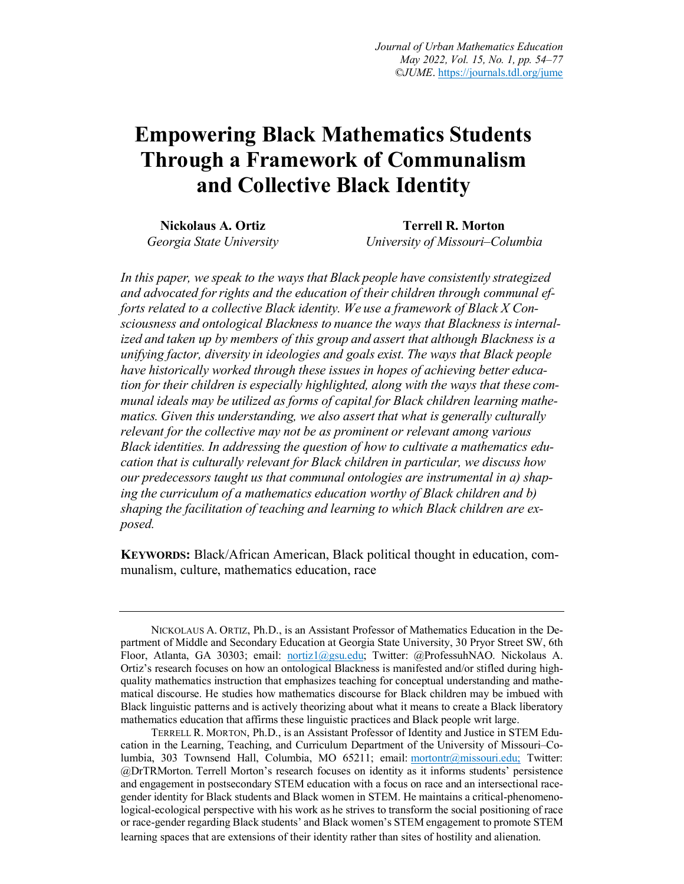# **Empowering Black Mathematics Students Through a Framework of Communalism and Collective Black Identity**

**Nickolaus A. Ortiz** *Georgia State University*

**Terrell R. Morton** *University of Missouri–Columbia*

*In this paper, we speak to the ways that Black people have consistently strategized and advocated forrights and the education of their children through communal efforts related to a collective Black identity. We use a framework of Black X Consciousness and ontological Blackness to nuance the ways that Blackness isinternalized and taken up by members of this group and assert that although Blackness is a unifying factor, diversity in ideologies and goals exist. The ways that Black people*  have historically worked through these issues in hopes of achieving better educa*tion for their children is especially highlighted, along with the ways that these communal ideals may be utilized as forms of capital for Black children learning mathematics. Given this understanding, we also assert that what is generally culturally relevant for the collective may not be as prominent or relevant among various Black identities. In addressing the question of how to cultivate a mathematics education that is culturally relevant for Black children in particular, we discuss how our predecessors taught us that communal ontologies are instrumental in a) shaping the curriculum of a mathematics education worthy of Black children and b) shaping the facilitation of teaching and learning to which Black children are exposed.*

**KEYWORDS:** Black/African American, Black political thought in education, communalism, culture, mathematics education, race

NICKOLAUS A. ORTIZ, Ph.D., is an Assistant Professor of Mathematics Education in the Department of Middle and Secondary Education at Georgia State University, 30 Pryor Street SW, 6th Floor, Atlanta, GA 30303; email: nortiz1@gsu.edu; Twitter: @ProfessuhNAO. Nickolaus A. Ortiz's research focuses on how an ontological Blackness is manifested and/or stifled during highquality mathematics instruction that emphasizes teaching for conceptual understanding and mathematical discourse. He studies how mathematics discourse for Black children may be imbued with Black linguistic patterns and is actively theorizing about what it means to create a Black liberatory mathematics education that affirms these linguistic practices and Black people writ large.

TERRELL R. MORTON, Ph.D., is an Assistant Professor of Identity and Justice in STEM Education in the Learning, Teaching, and Curriculum Department of the University of Missouri–Columbia, 303 Townsend Hall, Columbia, MO 65211; email: mortontr@missouri.edu; Twitter: @DrTRMorton. Terrell Morton's research focuses on identity as it informs students' persistence and engagement in postsecondary STEM education with a focus on race and an intersectional racegender identity for Black students and Black women in STEM. He maintains a critical-phenomenological-ecological perspective with his work as he strives to transform the social positioning of race or race-gender regarding Black students' and Black women's STEM engagement to promote STEM learning spaces that are extensions of their identity rather than sites of hostility and alienation.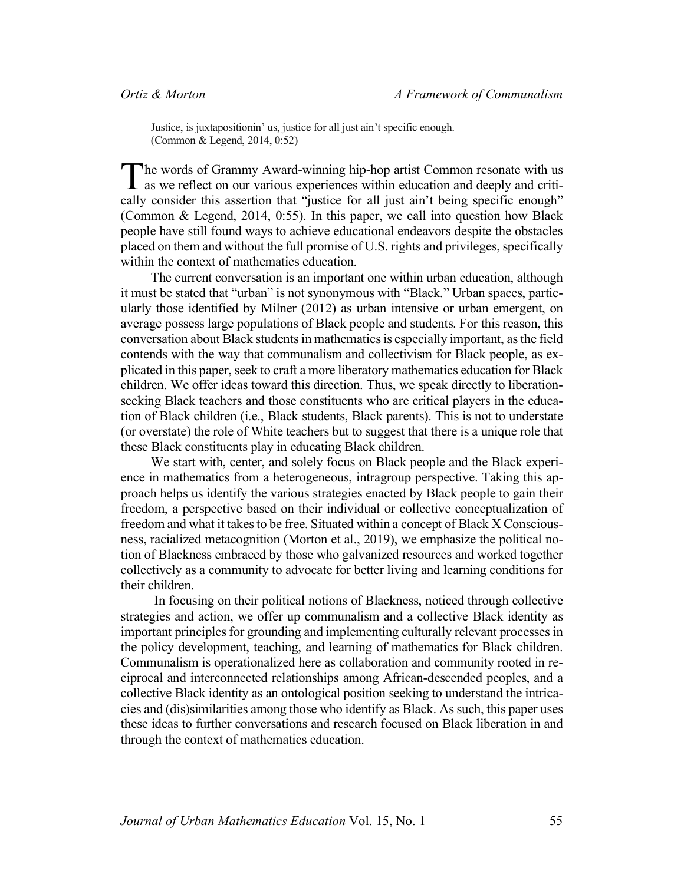Justice, is juxtapositionin' us, justice for all just ain't specific enough. (Common & Legend, 2014, 0:52)

he words of Grammy Award-winning hip-hop artist Common resonate with us The words of Grammy Award-winning hip-hop artist Common resonate with us as we reflect on our various experiences within education and deeply and critically consider this assertion that "justice for all just ain't being specific enough" (Common & Legend, 2014, 0:55). In this paper, we call into question how Black people have still found ways to achieve educational endeavors despite the obstacles placed on them and without the full promise of U.S. rights and privileges, specifically within the context of mathematics education.

The current conversation is an important one within urban education, although it must be stated that "urban" is not synonymous with "Black." Urban spaces, particularly those identified by Milner (2012) as urban intensive or urban emergent, on average possess large populations of Black people and students. For this reason, this conversation about Black students in mathematics is especially important, as the field contends with the way that communalism and collectivism for Black people, as explicated in this paper, seek to craft a more liberatory mathematics education for Black children. We offer ideas toward this direction. Thus, we speak directly to liberationseeking Black teachers and those constituents who are critical players in the education of Black children (i.e., Black students, Black parents). This is not to understate (or overstate) the role of White teachers but to suggest that there is a unique role that these Black constituents play in educating Black children.

We start with, center, and solely focus on Black people and the Black experience in mathematics from a heterogeneous, intragroup perspective. Taking this approach helps us identify the various strategies enacted by Black people to gain their freedom, a perspective based on their individual or collective conceptualization of freedom and what it takes to be free. Situated within a concept of Black X Consciousness, racialized metacognition (Morton et al., 2019), we emphasize the political notion of Blackness embraced by those who galvanized resources and worked together collectively as a community to advocate for better living and learning conditions for their children.

In focusing on their political notions of Blackness, noticed through collective strategies and action, we offer up communalism and a collective Black identity as important principles for grounding and implementing culturally relevant processes in the policy development, teaching, and learning of mathematics for Black children. Communalism is operationalized here as collaboration and community rooted in reciprocal and interconnected relationships among African-descended peoples, and a collective Black identity as an ontological position seeking to understand the intricacies and (dis)similarities among those who identify as Black. As such, this paper uses these ideas to further conversations and research focused on Black liberation in and through the context of mathematics education.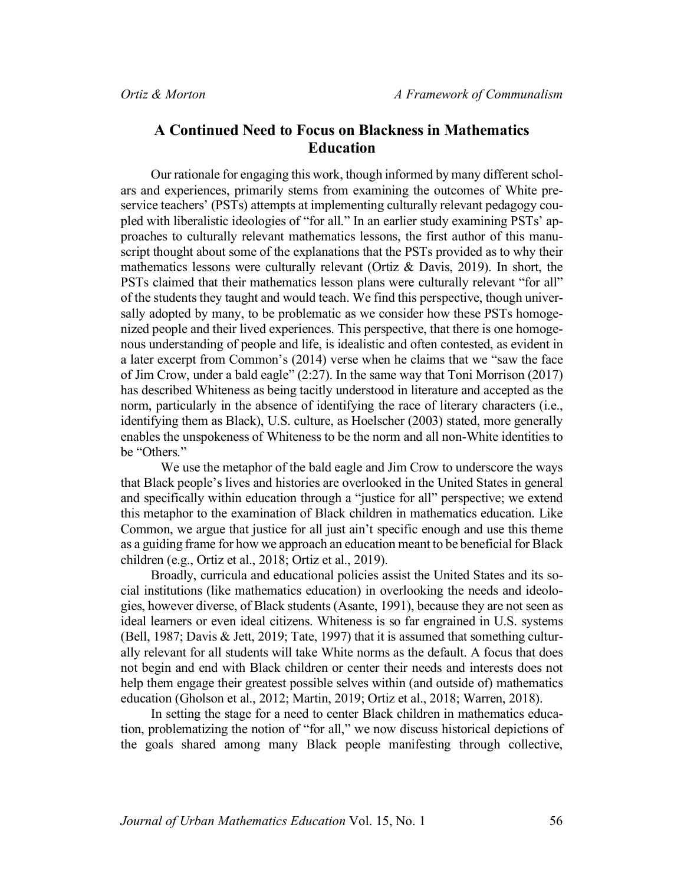# **A Continued Need to Focus on Blackness in Mathematics Education**

Our rationale for engaging this work, though informed by many different scholars and experiences, primarily stems from examining the outcomes of White preservice teachers' (PSTs) attempts at implementing culturally relevant pedagogy coupled with liberalistic ideologies of "for all." In an earlier study examining PSTs' approaches to culturally relevant mathematics lessons, the first author of this manuscript thought about some of the explanations that the PSTs provided as to why their mathematics lessons were culturally relevant (Ortiz & Davis, 2019). In short, the PSTs claimed that their mathematics lesson plans were culturally relevant "for all" of the students they taught and would teach. We find this perspective, though universally adopted by many, to be problematic as we consider how these PSTs homogenized people and their lived experiences. This perspective, that there is one homogenous understanding of people and life, is idealistic and often contested, as evident in a later excerpt from Common's (2014) verse when he claims that we "saw the face of Jim Crow, under a bald eagle" (2:27). In the same way that Toni Morrison (2017) has described Whiteness as being tacitly understood in literature and accepted as the norm, particularly in the absence of identifying the race of literary characters (i.e., identifying them as Black), U.S. culture, as Hoelscher (2003) stated, more generally enables the unspokeness of Whiteness to be the norm and all non-White identities to be "Others"

We use the metaphor of the bald eagle and Jim Crow to underscore the ways that Black people's lives and histories are overlooked in the United States in general and specifically within education through a "justice for all" perspective; we extend this metaphor to the examination of Black children in mathematics education. Like Common, we argue that justice for all just ain't specific enough and use this theme as a guiding frame for how we approach an education meant to be beneficial for Black children (e.g., Ortiz et al., 2018; Ortiz et al., 2019).

Broadly, curricula and educational policies assist the United States and its social institutions (like mathematics education) in overlooking the needs and ideologies, however diverse, of Black students (Asante, 1991), because they are not seen as ideal learners or even ideal citizens. Whiteness is so far engrained in U.S. systems (Bell, 1987; Davis & Jett, 2019; Tate, 1997) that it is assumed that something culturally relevant for all students will take White norms as the default. A focus that does not begin and end with Black children or center their needs and interests does not help them engage their greatest possible selves within (and outside of) mathematics education (Gholson et al., 2012; Martin, 2019; Ortiz et al., 2018; Warren, 2018).

In setting the stage for a need to center Black children in mathematics education, problematizing the notion of "for all," we now discuss historical depictions of the goals shared among many Black people manifesting through collective,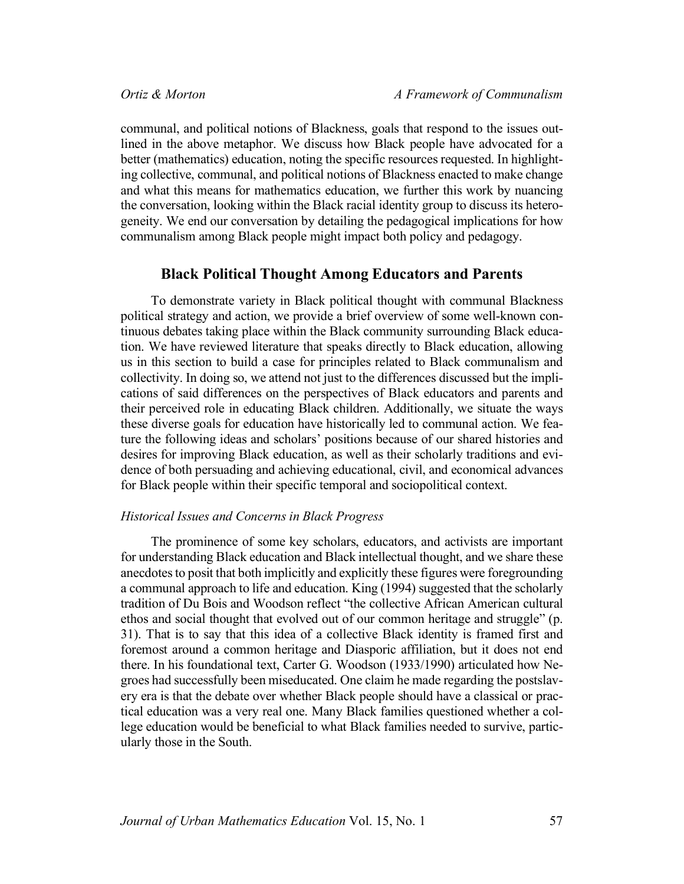communal, and political notions of Blackness, goals that respond to the issues outlined in the above metaphor. We discuss how Black people have advocated for a better (mathematics) education, noting the specific resources requested. In highlighting collective, communal, and political notions of Blackness enacted to make change and what this means for mathematics education, we further this work by nuancing the conversation, looking within the Black racial identity group to discuss its heterogeneity. We end our conversation by detailing the pedagogical implications for how communalism among Black people might impact both policy and pedagogy.

# **Black Political Thought Among Educators and Parents**

To demonstrate variety in Black political thought with communal Blackness political strategy and action, we provide a brief overview of some well-known continuous debates taking place within the Black community surrounding Black education. We have reviewed literature that speaks directly to Black education, allowing us in this section to build a case for principles related to Black communalism and collectivity. In doing so, we attend not just to the differences discussed but the implications of said differences on the perspectives of Black educators and parents and their perceived role in educating Black children. Additionally, we situate the ways these diverse goals for education have historically led to communal action. We feature the following ideas and scholars' positions because of our shared histories and desires for improving Black education, as well as their scholarly traditions and evidence of both persuading and achieving educational, civil, and economical advances for Black people within their specific temporal and sociopolitical context.

# *Historical Issues and Concerns in Black Progress*

The prominence of some key scholars, educators, and activists are important for understanding Black education and Black intellectual thought, and we share these anecdotes to posit that both implicitly and explicitly these figures were foregrounding a communal approach to life and education. King (1994) suggested that the scholarly tradition of Du Bois and Woodson reflect "the collective African American cultural ethos and social thought that evolved out of our common heritage and struggle" (p. 31). That is to say that this idea of a collective Black identity is framed first and foremost around a common heritage and Diasporic affiliation, but it does not end there. In his foundational text, Carter G. Woodson (1933/1990) articulated how Negroes had successfully been miseducated. One claim he made regarding the postslavery era is that the debate over whether Black people should have a classical or practical education was a very real one. Many Black families questioned whether a college education would be beneficial to what Black families needed to survive, particularly those in the South.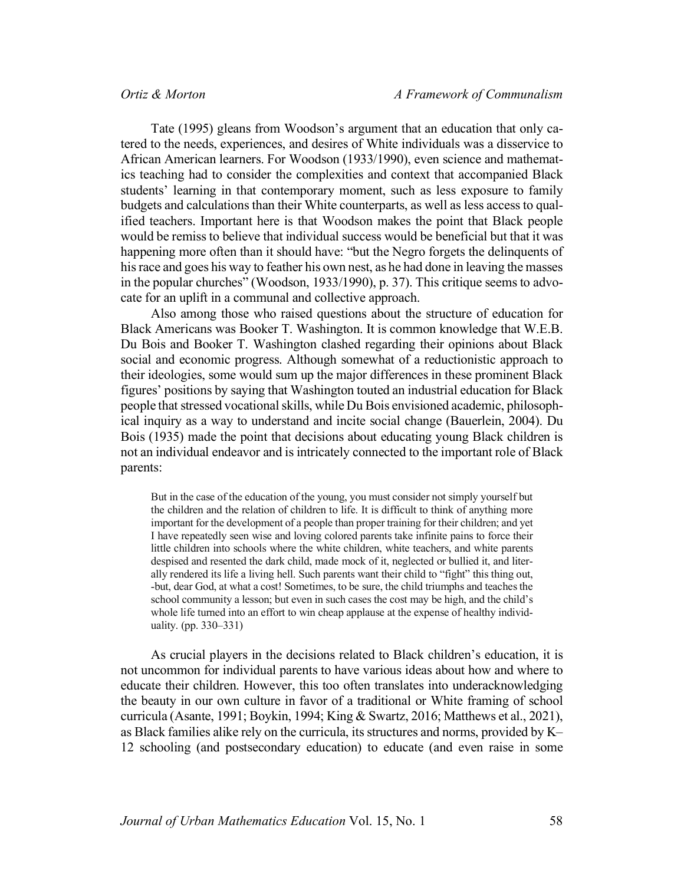Tate (1995) gleans from Woodson's argument that an education that only catered to the needs, experiences, and desires of White individuals was a disservice to African American learners. For Woodson (1933/1990), even science and mathematics teaching had to consider the complexities and context that accompanied Black students' learning in that contemporary moment, such as less exposure to family budgets and calculations than their White counterparts, as well as less access to qualified teachers. Important here is that Woodson makes the point that Black people would be remiss to believe that individual success would be beneficial but that it was happening more often than it should have: "but the Negro forgets the delinquents of his race and goes his way to feather his own nest, as he had done in leaving the masses in the popular churches" (Woodson, 1933/1990), p. 37). This critique seems to advocate for an uplift in a communal and collective approach.

Also among those who raised questions about the structure of education for Black Americans was Booker T. Washington. It is common knowledge that W.E.B. Du Bois and Booker T. Washington clashed regarding their opinions about Black social and economic progress. Although somewhat of a reductionistic approach to their ideologies, some would sum up the major differences in these prominent Black figures' positions by saying that Washington touted an industrial education for Black people that stressed vocational skills, while Du Bois envisioned academic, philosophical inquiry as a way to understand and incite social change (Bauerlein, 2004). Du Bois (1935) made the point that decisions about educating young Black children is not an individual endeavor and is intricately connected to the important role of Black parents:

But in the case of the education of the young, you must consider not simply yourself but the children and the relation of children to life. It is difficult to think of anything more important for the development of a people than proper training for their children; and yet I have repeatedly seen wise and loving colored parents take infinite pains to force their little children into schools where the white children, white teachers, and white parents despised and resented the dark child, made mock of it, neglected or bullied it, and literally rendered its life a living hell. Such parents want their child to "fight" this thing out, -but, dear God, at what a cost! Sometimes, to be sure, the child triumphs and teaches the school community a lesson; but even in such cases the cost may be high, and the child's whole life turned into an effort to win cheap applause at the expense of healthy individuality. (pp. 330–331)

As crucial players in the decisions related to Black children's education, it is not uncommon for individual parents to have various ideas about how and where to educate their children. However, this too often translates into underacknowledging the beauty in our own culture in favor of a traditional or White framing of school curricula (Asante, 1991; Boykin, 1994; King & Swartz, 2016; Matthews et al., 2021), as Black families alike rely on the curricula, its structures and norms, provided by K– 12 schooling (and postsecondary education) to educate (and even raise in some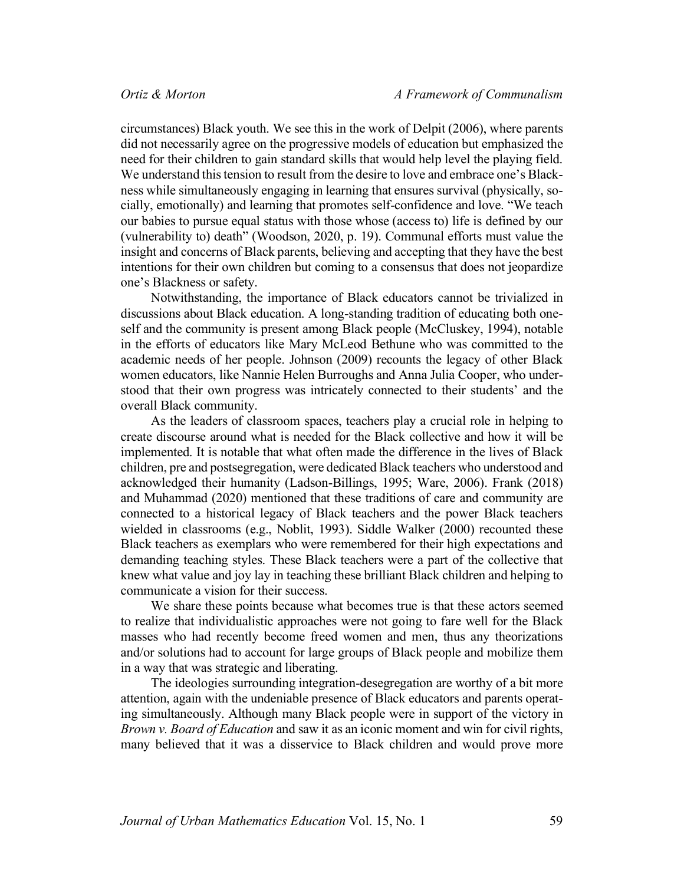circumstances) Black youth. We see this in the work of Delpit (2006), where parents did not necessarily agree on the progressive models of education but emphasized the need for their children to gain standard skills that would help level the playing field. We understand this tension to result from the desire to love and embrace one's Blackness while simultaneously engaging in learning that ensures survival (physically, socially, emotionally) and learning that promotes self-confidence and love. "We teach our babies to pursue equal status with those whose (access to) life is defined by our (vulnerability to) death" (Woodson, 2020, p. 19). Communal efforts must value the insight and concerns of Black parents, believing and accepting that they have the best intentions for their own children but coming to a consensus that does not jeopardize one's Blackness or safety.

Notwithstanding, the importance of Black educators cannot be trivialized in discussions about Black education. A long-standing tradition of educating both oneself and the community is present among Black people (McCluskey, 1994), notable in the efforts of educators like Mary McLeod Bethune who was committed to the academic needs of her people. Johnson (2009) recounts the legacy of other Black women educators, like Nannie Helen Burroughs and Anna Julia Cooper, who understood that their own progress was intricately connected to their students' and the overall Black community.

As the leaders of classroom spaces, teachers play a crucial role in helping to create discourse around what is needed for the Black collective and how it will be implemented. It is notable that what often made the difference in the lives of Black children, pre and postsegregation, were dedicated Black teachers who understood and acknowledged their humanity (Ladson-Billings, 1995; Ware, 2006). Frank (2018) and Muhammad (2020) mentioned that these traditions of care and community are connected to a historical legacy of Black teachers and the power Black teachers wielded in classrooms (e.g., Noblit, 1993). Siddle Walker (2000) recounted these Black teachers as exemplars who were remembered for their high expectations and demanding teaching styles. These Black teachers were a part of the collective that knew what value and joy lay in teaching these brilliant Black children and helping to communicate a vision for their success.

We share these points because what becomes true is that these actors seemed to realize that individualistic approaches were not going to fare well for the Black masses who had recently become freed women and men, thus any theorizations and/or solutions had to account for large groups of Black people and mobilize them in a way that was strategic and liberating.

The ideologies surrounding integration-desegregation are worthy of a bit more attention, again with the undeniable presence of Black educators and parents operating simultaneously. Although many Black people were in support of the victory in *Brown v. Board of Education* and saw it as an iconic moment and win for civil rights, many believed that it was a disservice to Black children and would prove more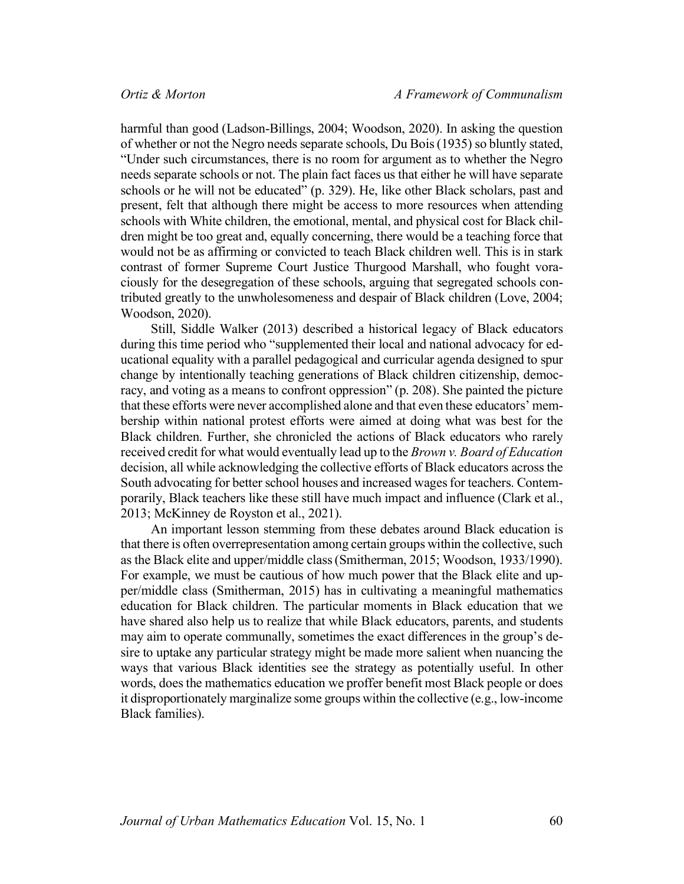harmful than good (Ladson-Billings, 2004; Woodson, 2020). In asking the question of whether or not the Negro needs separate schools, Du Bois (1935) so bluntly stated, "Under such circumstances, there is no room for argument as to whether the Negro needs separate schools or not. The plain fact faces us that either he will have separate schools or he will not be educated" (p. 329). He, like other Black scholars, past and present, felt that although there might be access to more resources when attending schools with White children, the emotional, mental, and physical cost for Black children might be too great and, equally concerning, there would be a teaching force that would not be as affirming or convicted to teach Black children well. This is in stark contrast of former Supreme Court Justice Thurgood Marshall, who fought voraciously for the desegregation of these schools, arguing that segregated schools contributed greatly to the unwholesomeness and despair of Black children (Love, 2004; Woodson, 2020).

Still, Siddle Walker (2013) described a historical legacy of Black educators during this time period who "supplemented their local and national advocacy for educational equality with a parallel pedagogical and curricular agenda designed to spur change by intentionally teaching generations of Black children citizenship, democracy, and voting as a means to confront oppression" (p. 208). She painted the picture that these efforts were never accomplished alone and that even these educators' membership within national protest efforts were aimed at doing what was best for the Black children. Further, she chronicled the actions of Black educators who rarely received credit for what would eventually lead up to the *Brown v. Board of Education* decision, all while acknowledging the collective efforts of Black educators across the South advocating for better school houses and increased wages for teachers. Contemporarily, Black teachers like these still have much impact and influence (Clark et al., 2013; McKinney de Royston et al., 2021).

An important lesson stemming from these debates around Black education is that there is often overrepresentation among certain groups within the collective, such as the Black elite and upper/middle class (Smitherman, 2015; Woodson, 1933/1990). For example, we must be cautious of how much power that the Black elite and upper/middle class (Smitherman, 2015) has in cultivating a meaningful mathematics education for Black children. The particular moments in Black education that we have shared also help us to realize that while Black educators, parents, and students may aim to operate communally, sometimes the exact differences in the group's desire to uptake any particular strategy might be made more salient when nuancing the ways that various Black identities see the strategy as potentially useful. In other words, does the mathematics education we proffer benefit most Black people or does it disproportionately marginalize some groups within the collective (e.g., low-income Black families).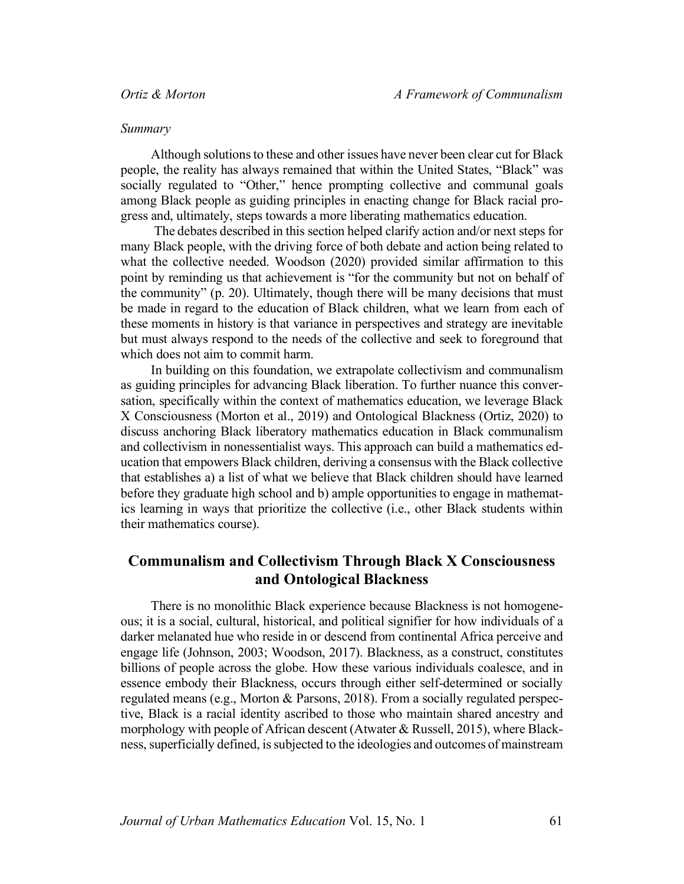### *Summary*

Although solutions to these and other issues have never been clear cut for Black people, the reality has always remained that within the United States, "Black" was socially regulated to "Other," hence prompting collective and communal goals among Black people as guiding principles in enacting change for Black racial progress and, ultimately, steps towards a more liberating mathematics education.

The debates described in this section helped clarify action and/or next steps for many Black people, with the driving force of both debate and action being related to what the collective needed. Woodson (2020) provided similar affirmation to this point by reminding us that achievement is "for the community but not on behalf of the community" (p. 20). Ultimately, though there will be many decisions that must be made in regard to the education of Black children, what we learn from each of these moments in history is that variance in perspectives and strategy are inevitable but must always respond to the needs of the collective and seek to foreground that which does not aim to commit harm.

In building on this foundation, we extrapolate collectivism and communalism as guiding principles for advancing Black liberation. To further nuance this conversation, specifically within the context of mathematics education, we leverage Black X Consciousness (Morton et al., 2019) and Ontological Blackness (Ortiz, 2020) to discuss anchoring Black liberatory mathematics education in Black communalism and collectivism in nonessentialist ways. This approach can build a mathematics education that empowers Black children, deriving a consensus with the Black collective that establishes a) a list of what we believe that Black children should have learned before they graduate high school and b) ample opportunities to engage in mathematics learning in ways that prioritize the collective (i.e., other Black students within their mathematics course).

# **Communalism and Collectivism Through Black X Consciousness and Ontological Blackness**

There is no monolithic Black experience because Blackness is not homogeneous; it is a social, cultural, historical, and political signifier for how individuals of a darker melanated hue who reside in or descend from continental Africa perceive and engage life (Johnson, 2003; Woodson, 2017). Blackness, as a construct, constitutes billions of people across the globe. How these various individuals coalesce, and in essence embody their Blackness, occurs through either self-determined or socially regulated means (e.g., Morton & Parsons, 2018). From a socially regulated perspective, Black is a racial identity ascribed to those who maintain shared ancestry and morphology with people of African descent (Atwater & Russell, 2015), where Blackness, superficially defined, is subjected to the ideologies and outcomes of mainstream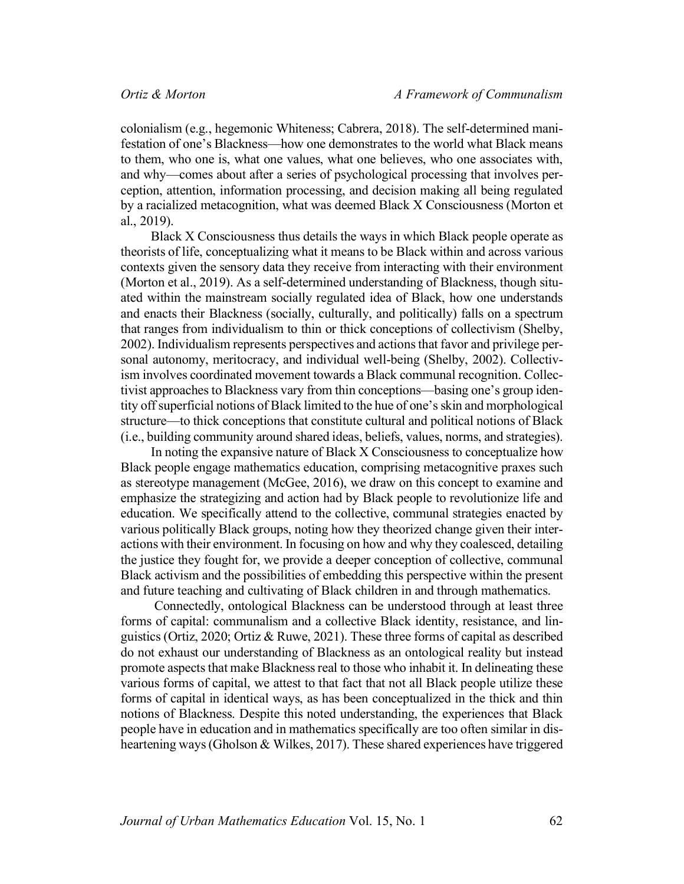colonialism (e.g., hegemonic Whiteness; Cabrera, 2018). The self-determined manifestation of one's Blackness—how one demonstrates to the world what Black means to them, who one is, what one values, what one believes, who one associates with, and why—comes about after a series of psychological processing that involves perception, attention, information processing, and decision making all being regulated by a racialized metacognition, what was deemed Black X Consciousness (Morton et al., 2019).

Black X Consciousness thus details the ways in which Black people operate as theorists of life, conceptualizing what it means to be Black within and across various contexts given the sensory data they receive from interacting with their environment (Morton et al., 2019). As a self-determined understanding of Blackness, though situated within the mainstream socially regulated idea of Black, how one understands and enacts their Blackness (socially, culturally, and politically) falls on a spectrum that ranges from individualism to thin or thick conceptions of collectivism (Shelby, 2002). Individualism represents perspectives and actions that favor and privilege personal autonomy, meritocracy, and individual well-being (Shelby, 2002). Collectivism involves coordinated movement towards a Black communal recognition. Collectivist approaches to Blackness vary from thin conceptions—basing one's group identity off superficial notions of Black limited to the hue of one's skin and morphological structure—to thick conceptions that constitute cultural and political notions of Black (i.e., building community around shared ideas, beliefs, values, norms, and strategies).

In noting the expansive nature of Black X Consciousness to conceptualize how Black people engage mathematics education, comprising metacognitive praxes such as stereotype management (McGee, 2016), we draw on this concept to examine and emphasize the strategizing and action had by Black people to revolutionize life and education. We specifically attend to the collective, communal strategies enacted by various politically Black groups, noting how they theorized change given their interactions with their environment. In focusing on how and why they coalesced, detailing the justice they fought for, we provide a deeper conception of collective, communal Black activism and the possibilities of embedding this perspective within the present and future teaching and cultivating of Black children in and through mathematics.

Connectedly, ontological Blackness can be understood through at least three forms of capital: communalism and a collective Black identity, resistance, and linguistics (Ortiz, 2020; Ortiz & Ruwe, 2021). These three forms of capital as described do not exhaust our understanding of Blackness as an ontological reality but instead promote aspects that make Blackness real to those who inhabit it. In delineating these various forms of capital, we attest to that fact that not all Black people utilize these forms of capital in identical ways, as has been conceptualized in the thick and thin notions of Blackness. Despite this noted understanding, the experiences that Black people have in education and in mathematics specifically are too often similar in disheartening ways (Gholson & Wilkes, 2017). These shared experiences have triggered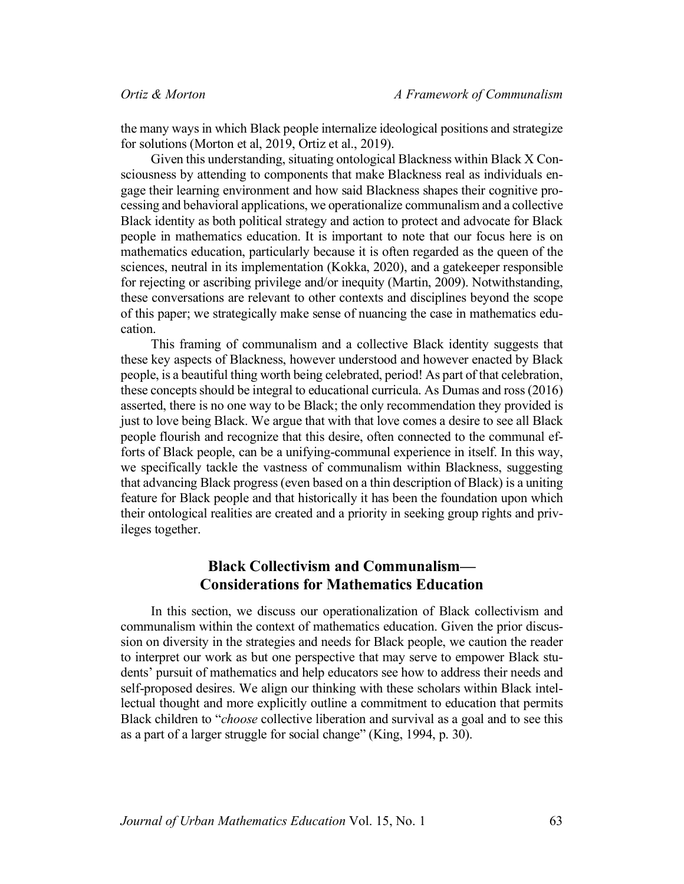the many ways in which Black people internalize ideological positions and strategize for solutions (Morton et al, 2019, Ortiz et al., 2019).

Given this understanding, situating ontological Blackness within Black X Consciousness by attending to components that make Blackness real as individuals engage their learning environment and how said Blackness shapes their cognitive processing and behavioral applications, we operationalize communalism and a collective Black identity as both political strategy and action to protect and advocate for Black people in mathematics education. It is important to note that our focus here is on mathematics education, particularly because it is often regarded as the queen of the sciences, neutral in its implementation (Kokka, 2020), and a gatekeeper responsible for rejecting or ascribing privilege and/or inequity (Martin, 2009). Notwithstanding, these conversations are relevant to other contexts and disciplines beyond the scope of this paper; we strategically make sense of nuancing the case in mathematics education.

This framing of communalism and a collective Black identity suggests that these key aspects of Blackness, however understood and however enacted by Black people, is a beautiful thing worth being celebrated, period! As part of that celebration, these concepts should be integral to educational curricula. As Dumas and ross (2016) asserted, there is no one way to be Black; the only recommendation they provided is just to love being Black. We argue that with that love comes a desire to see all Black people flourish and recognize that this desire, often connected to the communal efforts of Black people, can be a unifying-communal experience in itself. In this way, we specifically tackle the vastness of communalism within Blackness, suggesting that advancing Black progress (even based on a thin description of Black) is a uniting feature for Black people and that historically it has been the foundation upon which their ontological realities are created and a priority in seeking group rights and privileges together.

# **Black Collectivism and Communalism— Considerations for Mathematics Education**

In this section, we discuss our operationalization of Black collectivism and communalism within the context of mathematics education. Given the prior discussion on diversity in the strategies and needs for Black people, we caution the reader to interpret our work as but one perspective that may serve to empower Black students' pursuit of mathematics and help educators see how to address their needs and self-proposed desires. We align our thinking with these scholars within Black intellectual thought and more explicitly outline a commitment to education that permits Black children to "*choose* collective liberation and survival as a goal and to see this as a part of a larger struggle for social change" (King, 1994, p. 30).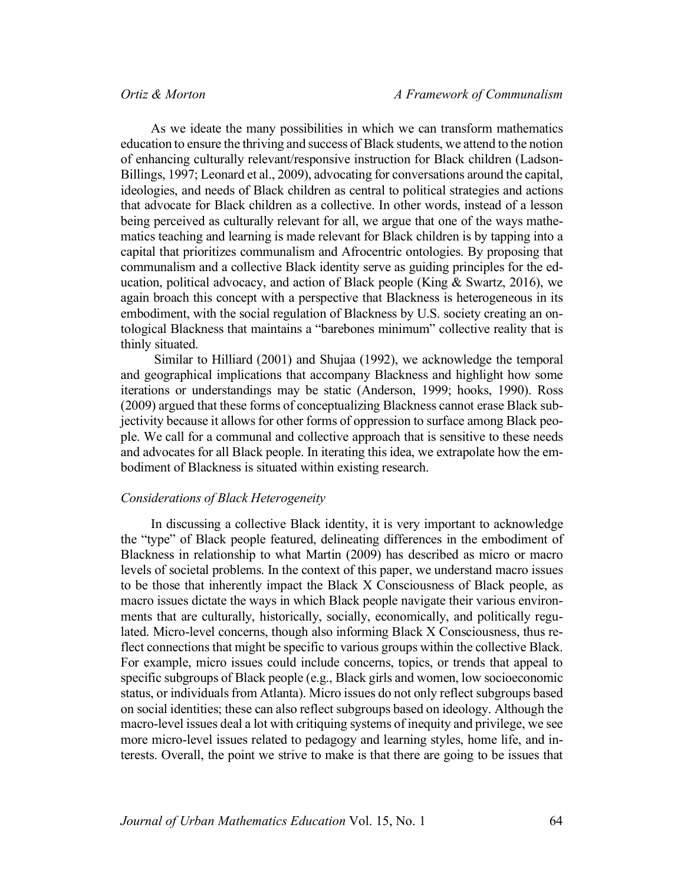As we ideate the many possibilities in which we can transform mathematics education to ensure the thriving and success of Black students, we attend to the notion of enhancing culturally relevant/responsive instruction for Black children (Ladson-Billings, 1997; Leonard et al., 2009), advocating for conversations around the capital, ideologies, and needs of Black children as central to political strategies and actions that advocate for Black children as a collective. In other words, instead of a lesson being perceived as culturally relevant for all, we argue that one of the ways mathematics teaching and learning is made relevant for Black children is by tapping into a capital that prioritizes communalism and Afrocentric ontologies. By proposing that communalism and a collective Black identity serve as guiding principles for the education, political advocacy, and action of Black people (King  $& Swartz, 2016$ ), we again broach this concept with a perspective that Blackness is heterogeneous in its embodiment, with the social regulation of Blackness by U.S. society creating an ontological Blackness that maintains a "barebones minimum" collective reality that is thinly situated.

Similar to Hilliard (2001) and Shujaa (1992), we acknowledge the temporal and geographical implications that accompany Blackness and highlight how some iterations or understandings may be static (Anderson, 1999; hooks, 1990). Ross (2009) argued that these forms of conceptualizing Blackness cannot erase Black subjectivity because it allows for other forms of oppression to surface among Black people. We call for a communal and collective approach that is sensitive to these needs and advocates for all Black people. In iterating this idea, we extrapolate how the embodiment of Blackness is situated within existing research.

#### *Considerations of Black Heterogeneity*

In discussing a collective Black identity, it is very important to acknowledge the "type" of Black people featured, delineating differences in the embodiment of Blackness in relationship to what Martin (2009) has described as micro or macro levels of societal problems. In the context of this paper, we understand macro issues to be those that inherently impact the Black X Consciousness of Black people, as macro issues dictate the ways in which Black people navigate their various environments that are culturally, historically, socially, economically, and politically regulated. Micro-level concerns, though also informing Black X Consciousness, thus reflect connections that might be specific to various groups within the collective Black. For example, micro issues could include concerns, topics, or trends that appeal to specific subgroups of Black people (e.g., Black girls and women, low socioeconomic status, or individuals from Atlanta). Micro issues do not only reflect subgroups based on social identities; these can also reflect subgroups based on ideology. Although the macro-level issues deal a lot with critiquing systems of inequity and privilege, we see more micro-level issues related to pedagogy and learning styles, home life, and interests. Overall, the point we strive to make is that there are going to be issues that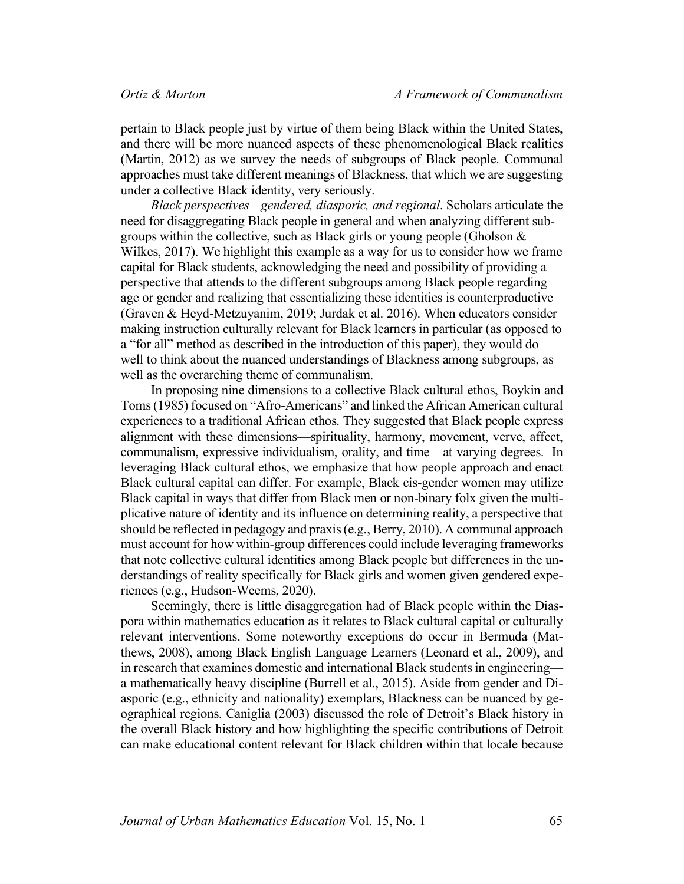pertain to Black people just by virtue of them being Black within the United States, and there will be more nuanced aspects of these phenomenological Black realities (Martin, 2012) as we survey the needs of subgroups of Black people. Communal approaches must take different meanings of Blackness, that which we are suggesting under a collective Black identity, very seriously.

*Black perspectives—gendered, diasporic, and regional*. Scholars articulate the need for disaggregating Black people in general and when analyzing different subgroups within the collective, such as Black girls or young people (Gholson  $\&$ Wilkes, 2017). We highlight this example as a way for us to consider how we frame capital for Black students, acknowledging the need and possibility of providing a perspective that attends to the different subgroups among Black people regarding age or gender and realizing that essentializing these identities is counterproductive (Graven & Heyd-Metzuyanim, 2019; Jurdak et al. 2016). When educators consider making instruction culturally relevant for Black learners in particular (as opposed to a "for all" method as described in the introduction of this paper), they would do well to think about the nuanced understandings of Blackness among subgroups, as well as the overarching theme of communalism.

In proposing nine dimensions to a collective Black cultural ethos, Boykin and Toms (1985) focused on "Afro-Americans" and linked the African American cultural experiences to a traditional African ethos. They suggested that Black people express alignment with these dimensions—spirituality, harmony, movement, verve, affect, communalism, expressive individualism, orality, and time—at varying degrees. In leveraging Black cultural ethos, we emphasize that how people approach and enact Black cultural capital can differ. For example, Black cis-gender women may utilize Black capital in ways that differ from Black men or non-binary folx given the multiplicative nature of identity and its influence on determining reality, a perspective that should be reflected in pedagogy and praxis (e.g., Berry, 2010). A communal approach must account for how within-group differences could include leveraging frameworks that note collective cultural identities among Black people but differences in the understandings of reality specifically for Black girls and women given gendered experiences (e.g., Hudson-Weems, 2020).

Seemingly, there is little disaggregation had of Black people within the Diaspora within mathematics education as it relates to Black cultural capital or culturally relevant interventions. Some noteworthy exceptions do occur in Bermuda (Matthews, 2008), among Black English Language Learners (Leonard et al., 2009), and in research that examines domestic and international Black students in engineering a mathematically heavy discipline (Burrell et al., 2015). Aside from gender and Diasporic (e.g., ethnicity and nationality) exemplars, Blackness can be nuanced by geographical regions. Caniglia (2003) discussed the role of Detroit's Black history in the overall Black history and how highlighting the specific contributions of Detroit can make educational content relevant for Black children within that locale because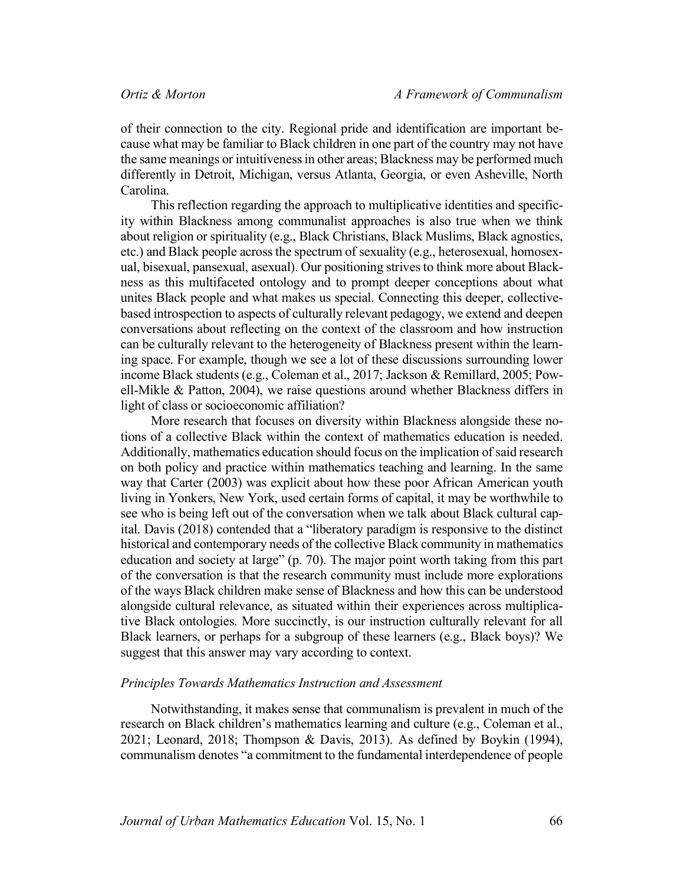of their connection to the city. Regional pride and identification are important because what may be familiar to Black children in one part of the country may not have the same meanings or intuitiveness in other areas; Blackness may be performed much differently in Detroit, Michigan, versus Atlanta, Georgia, or even Asheville, North Carolina.

This reflection regarding the approach to multiplicative identities and specificity within Blackness among communalist approaches is also true when we think about religion or spirituality (e.g., Black Christians, Black Muslims, Black agnostics, etc.) and Black people across the spectrum of sexuality (e.g., heterosexual, homosexual, bisexual, pansexual, asexual). Our positioning strives to think more about Blackness as this multifaceted ontology and to prompt deeper conceptions about what unites Black people and what makes us special. Connecting this deeper, collectivebased introspection to aspects of culturally relevant pedagogy, we extend and deepen conversations about reflecting on the context of the classroom and how instruction can be culturally relevant to the heterogeneity of Blackness present within the learning space. For example, though we see a lot of these discussions surrounding lower income Black students (e.g., Coleman et al., 2017; Jackson & Remillard, 2005; Powell-Mikle & Patton, 2004), we raise questions around whether Blackness differs in light of class or socioeconomic affiliation?

More research that focuses on diversity within Blackness alongside these notions of a collective Black within the context of mathematics education is needed. Additionally, mathematics education should focus on the implication of said research on both policy and practice within mathematics teaching and learning. In the same way that Carter (2003) was explicit about how these poor African American youth living in Yonkers, New York, used certain forms of capital, it may be worthwhile to see who is being left out of the conversation when we talk about Black cultural capital. Davis (2018) contended that a "liberatory paradigm is responsive to the distinct historical and contemporary needs of the collective Black community in mathematics education and society at large" (p. 70). The major point worth taking from this part of the conversation is that the research community must include more explorations of the ways Black children make sense of Blackness and how this can be understood alongside cultural relevance, as situated within their experiences across multiplicative Black ontologies. More succinctly, is our instruction culturally relevant for all Black learners, or perhaps for a subgroup of these learners (e.g., Black boys)? We suggest that this answer may vary according to context.

#### *Principles Towards Mathematics Instruction and Assessment*

Notwithstanding, it makes sense that communalism is prevalent in much of the research on Black children's mathematics learning and culture (e.g., Coleman et al., 2021; Leonard, 2018; Thompson & Davis, 2013). As defined by Boykin (1994), communalism denotes "a commitment to the fundamental interdependence of people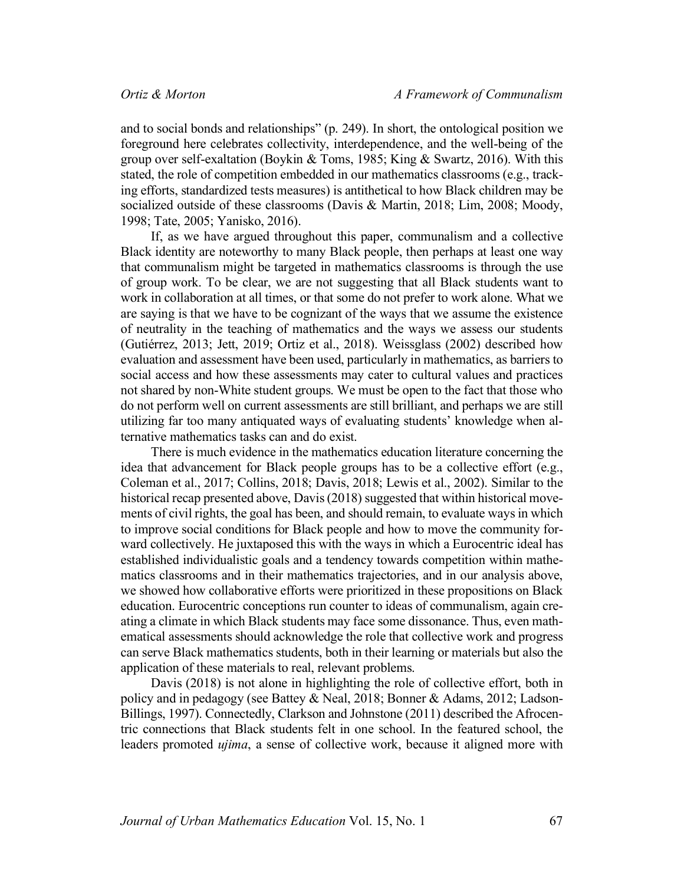and to social bonds and relationships" (p. 249). In short, the ontological position we foreground here celebrates collectivity, interdependence, and the well-being of the group over self-exaltation (Boykin & Toms, 1985; King & Swartz, 2016). With this stated, the role of competition embedded in our mathematics classrooms (e.g., tracking efforts, standardized tests measures) is antithetical to how Black children may be socialized outside of these classrooms (Davis & Martin, 2018; Lim, 2008; Moody, 1998; Tate, 2005; Yanisko, 2016).

If, as we have argued throughout this paper, communalism and a collective Black identity are noteworthy to many Black people, then perhaps at least one way that communalism might be targeted in mathematics classrooms is through the use of group work. To be clear, we are not suggesting that all Black students want to work in collaboration at all times, or that some do not prefer to work alone. What we are saying is that we have to be cognizant of the ways that we assume the existence of neutrality in the teaching of mathematics and the ways we assess our students (Gutiérrez, 2013; Jett, 2019; Ortiz et al., 2018). Weissglass (2002) described how evaluation and assessment have been used, particularly in mathematics, as barriers to social access and how these assessments may cater to cultural values and practices not shared by non-White student groups. We must be open to the fact that those who do not perform well on current assessments are still brilliant, and perhaps we are still utilizing far too many antiquated ways of evaluating students' knowledge when alternative mathematics tasks can and do exist.

There is much evidence in the mathematics education literature concerning the idea that advancement for Black people groups has to be a collective effort (e.g., Coleman et al., 2017; Collins, 2018; Davis, 2018; Lewis et al., 2002). Similar to the historical recap presented above, Davis(2018) suggested that within historical movements of civil rights, the goal has been, and should remain, to evaluate ways in which to improve social conditions for Black people and how to move the community forward collectively. He juxtaposed this with the ways in which a Eurocentric ideal has established individualistic goals and a tendency towards competition within mathematics classrooms and in their mathematics trajectories, and in our analysis above, we showed how collaborative efforts were prioritized in these propositions on Black education. Eurocentric conceptions run counter to ideas of communalism, again creating a climate in which Black students may face some dissonance. Thus, even mathematical assessments should acknowledge the role that collective work and progress can serve Black mathematics students, both in their learning or materials but also the application of these materials to real, relevant problems.

Davis (2018) is not alone in highlighting the role of collective effort, both in policy and in pedagogy (see Battey & Neal, 2018; Bonner & Adams, 2012; Ladson-Billings, 1997). Connectedly, Clarkson and Johnstone (2011) described the Afrocentric connections that Black students felt in one school. In the featured school, the leaders promoted *ujima*, a sense of collective work, because it aligned more with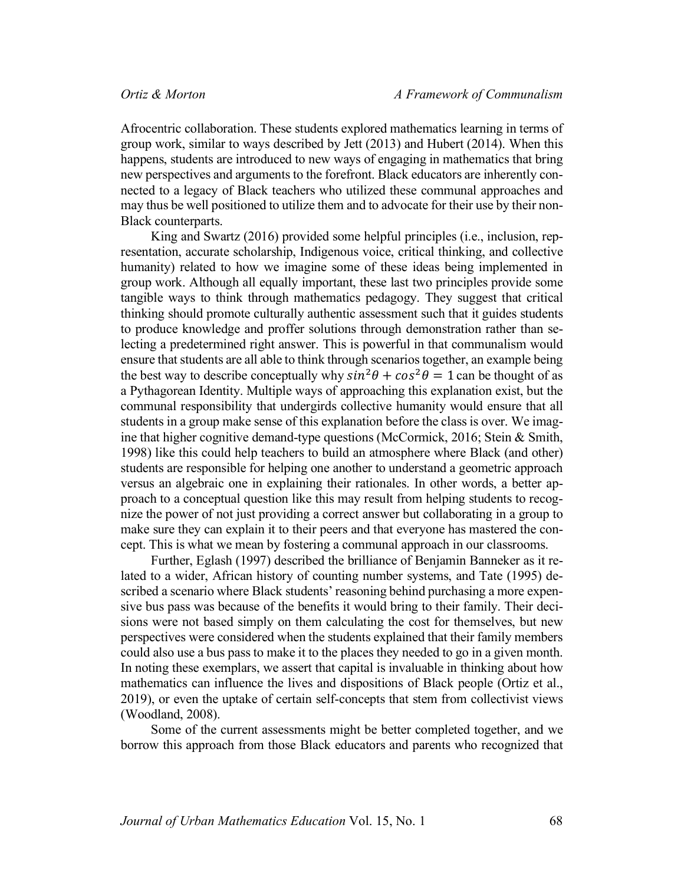Afrocentric collaboration. These students explored mathematics learning in terms of group work, similar to ways described by Jett (2013) and Hubert (2014). When this happens, students are introduced to new ways of engaging in mathematics that bring new perspectives and arguments to the forefront. Black educators are inherently connected to a legacy of Black teachers who utilized these communal approaches and may thus be well positioned to utilize them and to advocate for their use by their non-Black counterparts.

King and Swartz (2016) provided some helpful principles (i.e., inclusion, representation, accurate scholarship, Indigenous voice, critical thinking, and collective humanity) related to how we imagine some of these ideas being implemented in group work. Although all equally important, these last two principles provide some tangible ways to think through mathematics pedagogy. They suggest that critical thinking should promote culturally authentic assessment such that it guides students to produce knowledge and proffer solutions through demonstration rather than selecting a predetermined right answer. This is powerful in that communalism would ensure that students are all able to think through scenarios together, an example being the best way to describe conceptually why  $\sin^2\theta + \cos^2\theta = 1$  can be thought of as a Pythagorean Identity. Multiple ways of approaching this explanation exist, but the communal responsibility that undergirds collective humanity would ensure that all students in a group make sense of this explanation before the class is over. We imagine that higher cognitive demand-type questions (McCormick, 2016; Stein & Smith, 1998) like this could help teachers to build an atmosphere where Black (and other) students are responsible for helping one another to understand a geometric approach versus an algebraic one in explaining their rationales. In other words, a better approach to a conceptual question like this may result from helping students to recognize the power of not just providing a correct answer but collaborating in a group to make sure they can explain it to their peers and that everyone has mastered the concept. This is what we mean by fostering a communal approach in our classrooms.

Further, Eglash (1997) described the brilliance of Benjamin Banneker as it related to a wider, African history of counting number systems, and Tate (1995) described a scenario where Black students' reasoning behind purchasing a more expensive bus pass was because of the benefits it would bring to their family. Their decisions were not based simply on them calculating the cost for themselves, but new perspectives were considered when the students explained that their family members could also use a bus pass to make it to the places they needed to go in a given month. In noting these exemplars, we assert that capital is invaluable in thinking about how mathematics can influence the lives and dispositions of Black people (Ortiz et al., 2019), or even the uptake of certain self-concepts that stem from collectivist views (Woodland, 2008).

Some of the current assessments might be better completed together, and we borrow this approach from those Black educators and parents who recognized that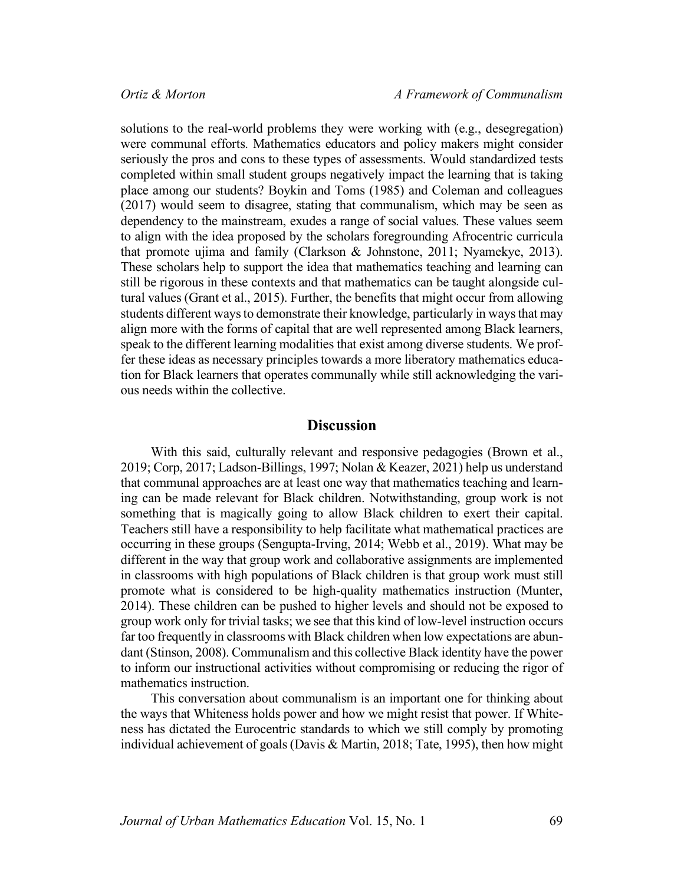solutions to the real-world problems they were working with (e.g., desegregation) were communal efforts. Mathematics educators and policy makers might consider seriously the pros and cons to these types of assessments. Would standardized tests completed within small student groups negatively impact the learning that is taking place among our students? Boykin and Toms (1985) and Coleman and colleagues (2017) would seem to disagree, stating that communalism, which may be seen as dependency to the mainstream, exudes a range of social values. These values seem to align with the idea proposed by the scholars foregrounding Afrocentric curricula that promote ujima and family (Clarkson & Johnstone, 2011; Nyamekye, 2013). These scholars help to support the idea that mathematics teaching and learning can still be rigorous in these contexts and that mathematics can be taught alongside cultural values (Grant et al., 2015). Further, the benefits that might occur from allowing students different ways to demonstrate their knowledge, particularly in ways that may align more with the forms of capital that are well represented among Black learners, speak to the different learning modalities that exist among diverse students. We proffer these ideas as necessary principles towards a more liberatory mathematics education for Black learners that operates communally while still acknowledging the various needs within the collective.

### **Discussion**

With this said, culturally relevant and responsive pedagogies (Brown et al., 2019; Corp, 2017; Ladson-Billings, 1997; Nolan & Keazer, 2021) help us understand that communal approaches are at least one way that mathematics teaching and learning can be made relevant for Black children. Notwithstanding, group work is not something that is magically going to allow Black children to exert their capital. Teachers still have a responsibility to help facilitate what mathematical practices are occurring in these groups (Sengupta-Irving, 2014; Webb et al., 2019). What may be different in the way that group work and collaborative assignments are implemented in classrooms with high populations of Black children is that group work must still promote what is considered to be high-quality mathematics instruction (Munter, 2014). These children can be pushed to higher levels and should not be exposed to group work only for trivial tasks; we see that this kind of low-level instruction occurs far too frequently in classrooms with Black children when low expectations are abundant (Stinson, 2008). Communalism and this collective Black identity have the power to inform our instructional activities without compromising or reducing the rigor of mathematics instruction.

This conversation about communalism is an important one for thinking about the ways that Whiteness holds power and how we might resist that power. If Whiteness has dictated the Eurocentric standards to which we still comply by promoting individual achievement of goals (Davis & Martin, 2018; Tate, 1995), then how might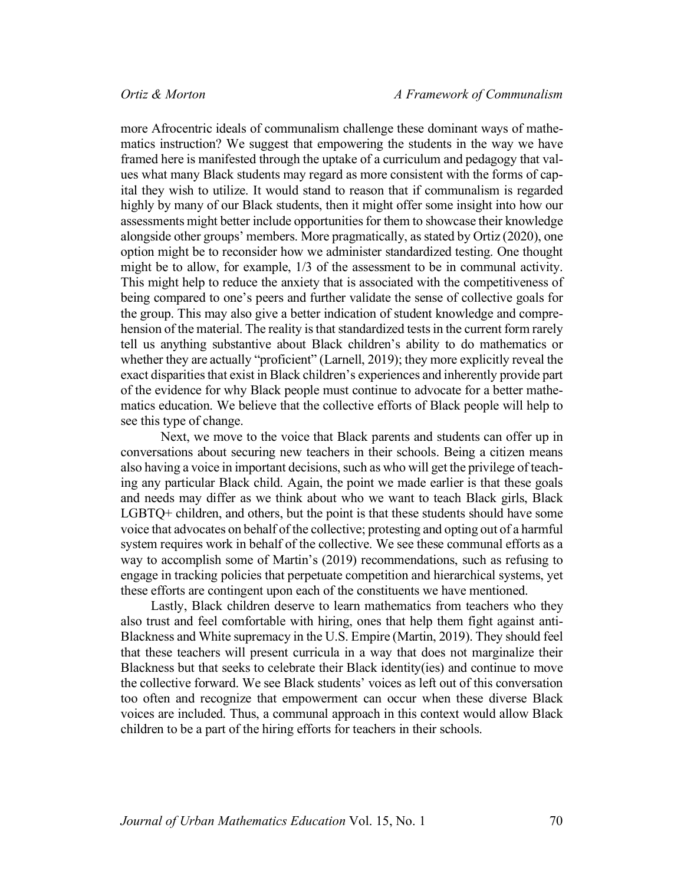more Afrocentric ideals of communalism challenge these dominant ways of mathematics instruction? We suggest that empowering the students in the way we have framed here is manifested through the uptake of a curriculum and pedagogy that values what many Black students may regard as more consistent with the forms of capital they wish to utilize. It would stand to reason that if communalism is regarded highly by many of our Black students, then it might offer some insight into how our assessments might better include opportunities for them to showcase their knowledge alongside other groups' members. More pragmatically, as stated by Ortiz (2020), one option might be to reconsider how we administer standardized testing. One thought might be to allow, for example, 1/3 of the assessment to be in communal activity. This might help to reduce the anxiety that is associated with the competitiveness of being compared to one's peers and further validate the sense of collective goals for the group. This may also give a better indication of student knowledge and comprehension of the material. The reality is that standardized tests in the current form rarely tell us anything substantive about Black children's ability to do mathematics or whether they are actually "proficient" (Larnell, 2019); they more explicitly reveal the exact disparities that exist in Black children's experiences and inherently provide part of the evidence for why Black people must continue to advocate for a better mathematics education. We believe that the collective efforts of Black people will help to see this type of change.

Next, we move to the voice that Black parents and students can offer up in conversations about securing new teachers in their schools. Being a citizen means also having a voice in important decisions, such as who will get the privilege of teaching any particular Black child. Again, the point we made earlier is that these goals and needs may differ as we think about who we want to teach Black girls, Black LGBTQ+ children, and others, but the point is that these students should have some voice that advocates on behalf of the collective; protesting and opting out of a harmful system requires work in behalf of the collective. We see these communal efforts as a way to accomplish some of Martin's (2019) recommendations, such as refusing to engage in tracking policies that perpetuate competition and hierarchical systems, yet these efforts are contingent upon each of the constituents we have mentioned.

Lastly, Black children deserve to learn mathematics from teachers who they also trust and feel comfortable with hiring, ones that help them fight against anti-Blackness and White supremacy in the U.S. Empire (Martin, 2019). They should feel that these teachers will present curricula in a way that does not marginalize their Blackness but that seeks to celebrate their Black identity(ies) and continue to move the collective forward. We see Black students' voices as left out of this conversation too often and recognize that empowerment can occur when these diverse Black voices are included. Thus, a communal approach in this context would allow Black children to be a part of the hiring efforts for teachers in their schools.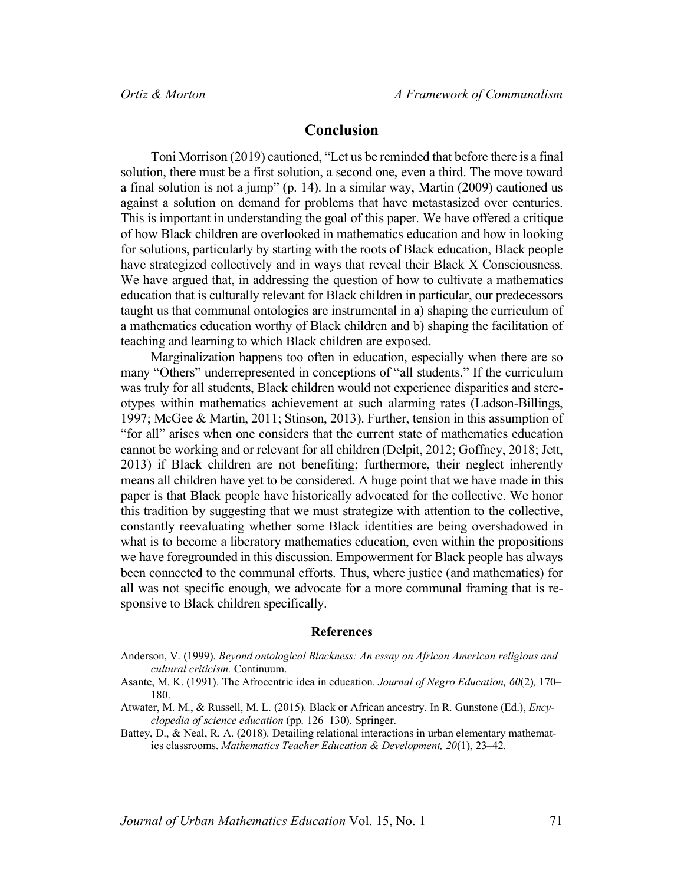## **Conclusion**

Toni Morrison (2019) cautioned, "Let us be reminded that before there is a final solution, there must be a first solution, a second one, even a third. The move toward a final solution is not a jump" (p. 14). In a similar way, Martin (2009) cautioned us against a solution on demand for problems that have metastasized over centuries. This is important in understanding the goal of this paper. We have offered a critique of how Black children are overlooked in mathematics education and how in looking for solutions, particularly by starting with the roots of Black education, Black people have strategized collectively and in ways that reveal their Black X Consciousness. We have argued that, in addressing the question of how to cultivate a mathematics education that is culturally relevant for Black children in particular, our predecessors taught us that communal ontologies are instrumental in a) shaping the curriculum of a mathematics education worthy of Black children and b) shaping the facilitation of teaching and learning to which Black children are exposed.

Marginalization happens too often in education, especially when there are so many "Others" underrepresented in conceptions of "all students." If the curriculum was truly for all students, Black children would not experience disparities and stereotypes within mathematics achievement at such alarming rates (Ladson-Billings, 1997; McGee & Martin, 2011; Stinson, 2013). Further, tension in this assumption of "for all" arises when one considers that the current state of mathematics education cannot be working and or relevant for all children (Delpit, 2012; Goffney, 2018; Jett, 2013) if Black children are not benefiting; furthermore, their neglect inherently means all children have yet to be considered. A huge point that we have made in this paper is that Black people have historically advocated for the collective. We honor this tradition by suggesting that we must strategize with attention to the collective, constantly reevaluating whether some Black identities are being overshadowed in what is to become a liberatory mathematics education, even within the propositions we have foregrounded in this discussion. Empowerment for Black people has always been connected to the communal efforts. Thus, where justice (and mathematics) for all was not specific enough, we advocate for a more communal framing that is responsive to Black children specifically.

#### **References**

- Asante, M. K. (1991). The Afrocentric idea in education. *Journal of Negro Education, 60*(2)*,* 170– 180.
- Atwater, M. M., & Russell, M. L. (2015). Black or African ancestry. In R. Gunstone (Ed.), *Encyclopedia of science education* (pp. 126–130). Springer.
- Battey, D., & Neal, R. A. (2018). Detailing relational interactions in urban elementary mathematics classrooms. *Mathematics Teacher Education & Development, 20*(1), 23–42.

Anderson, V. (1999). *Beyond ontological Blackness: An essay on African American religious and cultural criticism.* Continuum.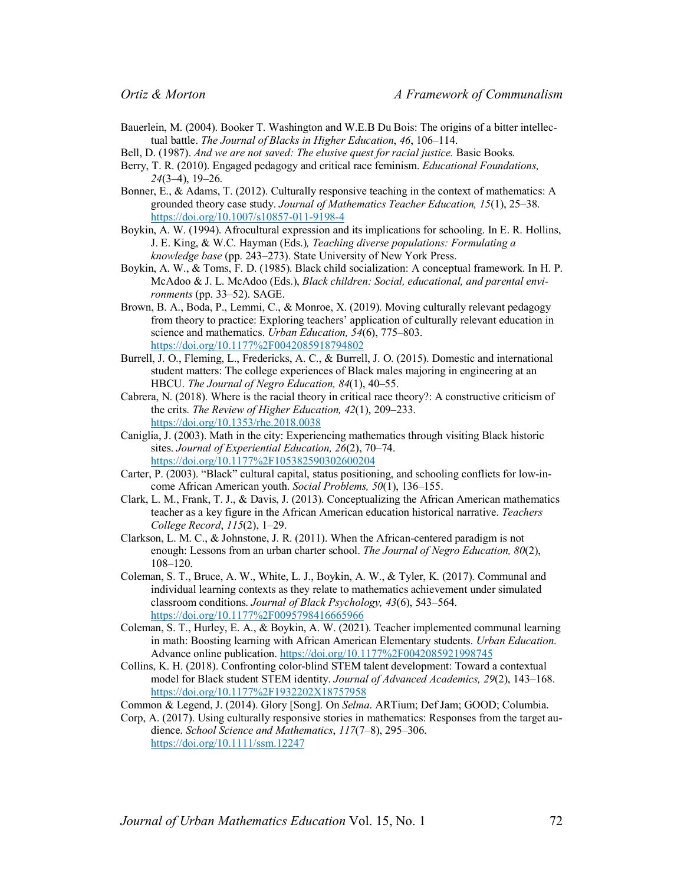- Bauerlein, M. (2004). Booker T. Washington and W.E.B Du Bois: The origins of a bitter intellectual battle. *The Journal of Blacks in Higher Education*, *46*, 106–114.
- Bell, D. (1987). *And we are not saved: The elusive quest for racial justice.* Basic Books.
- Berry, T. R. (2010). Engaged pedagogy and critical race feminism. *Educational Foundations, 24*(3–4), 19–26.
- Bonner, E., & Adams, T. (2012). Culturally responsive teaching in the context of mathematics: A grounded theory case study. *Journal of Mathematics Teacher Education, 15*(1), 25–38. https://doi.org/10.1007/s10857-011-9198-4
- Boykin, A. W. (1994). Afrocultural expression and its implications for schooling. In E. R. Hollins, J. E. King, & W.C. Hayman (Eds.)*, Teaching diverse populations: Formulating a knowledge base* (pp. 243–273). State University of New York Press.
- Boykin, A. W., & Toms, F. D. (1985). Black child socialization: A conceptual framework. In H. P. McAdoo & J. L. McAdoo (Eds.), *Black children: Social, educational, and parental environments* (pp. 33–52). SAGE.
- Brown, B. A., Boda, P., Lemmi, C., & Monroe, X. (2019). Moving culturally relevant pedagogy from theory to practice: Exploring teachers' application of culturally relevant education in science and mathematics. *Urban Education, 54*(6), 775–803. https://doi.org/10.1177%2F0042085918794802
- Burrell, J. O., Fleming, L., Fredericks, A. C., & Burrell, J. O. (2015). Domestic and international student matters: The college experiences of Black males majoring in engineering at an HBCU. *The Journal of Negro Education, 84*(1), 40–55.
- Cabrera, N. (2018). Where is the racial theory in critical race theory?: A constructive criticism of the crits. *The Review of Higher Education, 42*(1), 209–233. https://doi.org/10.1353/rhe.2018.0038
- Caniglia, J. (2003). Math in the city: Experiencing mathematics through visiting Black historic sites. *Journal of Experiential Education, 26*(2), 70–74. https://doi.org/10.1177%2F105382590302600204
- Carter, P. (2003). "Black" cultural capital, status positioning, and schooling conflicts for low-income African American youth. *Social Problems, 50*(1), 136–155.
- Clark, L. M., Frank, T. J., & Davis, J. (2013). Conceptualizing the African American mathematics teacher as a key figure in the African American education historical narrative. *Teachers College Record*, *115*(2), 1–29.
- Clarkson, L. M. C., & Johnstone, J. R. (2011). When the African-centered paradigm is not enough: Lessons from an urban charter school. *The Journal of Negro Education, 80*(2), 108–120.
- Coleman, S. T., Bruce, A. W., White, L. J., Boykin, A. W., & Tyler, K. (2017). Communal and individual learning contexts as they relate to mathematics achievement under simulated classroom conditions. *Journal of Black Psychology, 43*(6), 543–564. https://doi.org/10.1177%2F0095798416665966
- Coleman, S. T., Hurley, E. A., & Boykin, A. W. (2021). Teacher implemented communal learning in math: Boosting learning with African American Elementary students. *Urban Education*. Advance online publication. https://doi.org/10.1177%2F0042085921998745
- Collins, K. H. (2018). Confronting color-blind STEM talent development: Toward a contextual model for Black student STEM identity. *Journal of Advanced Academics, 29*(2), 143–168. https://doi.org/10.1177%2F1932202X18757958
- Common & Legend, J. (2014). Glory [Song]. On *Selma*. ARTium; Def Jam; GOOD; Columbia.
- Corp, A. (2017). Using culturally responsive stories in mathematics: Responses from the target audience. *School Science and Mathematics*, *117*(7–8), 295–306. https://doi.org/10.1111/ssm.12247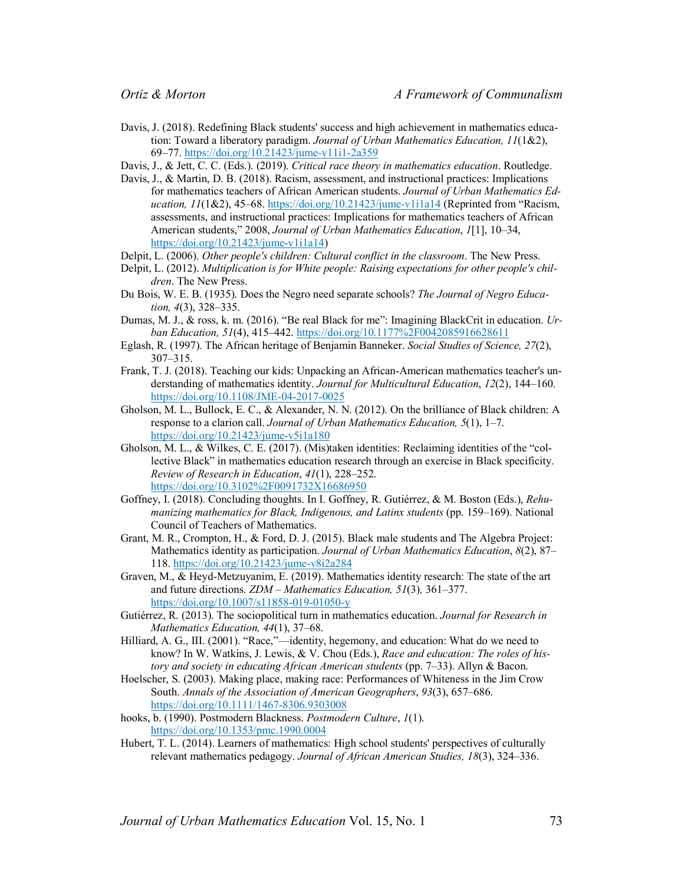- Davis, J. (2018). Redefining Black students' success and high achievement in mathematics education: Toward a liberatory paradigm. *Journal of Urban Mathematics Education, 11*(1&2), 69–77. https://doi.org/10.21423/jume-v11i1-2a359
- Davis, J., & Jett, C. C. (Eds.). (2019). *Critical race theory in mathematics education*. Routledge.
- Davis, J., & Martin, D. B. (2018). Racism, assessment, and instructional practices: Implications for mathematics teachers of African American students. *Journal of Urban Mathematics Education, 11*(1&2), 45–68. https://doi.org/10.21423/jume-v1i1a14 (Reprinted from "Racism, assessments, and instructional practices: Implications for mathematics teachers of African American students," 2008, *Journal of Urban Mathematics Education*, *1*[1], 10–34, https://doi.org/10.21423/jume-v1i1a14)
- Delpit, L. (2006). *Other people's children: Cultural conflict in the classroom*. The New Press.
- Delpit, L. (2012). *Multiplication is for White people: Raising expectations for other people's children*. The New Press.
- Du Bois, W. E. B. (1935). Does the Negro need separate schools? *The Journal of Negro Education, 4*(3), 328–335.
- Dumas, M. J., & ross, k. m. (2016). "Be real Black for me": Imagining BlackCrit in education. *Urban Education, 51*(4), 415–442. https://doi.org/10.1177%2F0042085916628611
- Eglash, R. (1997). The African heritage of Benjamin Banneker. *Social Studies of Science, 27*(2), 307–315.
- Frank, T. J. (2018). Teaching our kids: Unpacking an African-American mathematics teacher's understanding of mathematics identity. *Journal for Multicultural Education*, *12*(2), 144–160. https://doi.org/10.1108/JME-04-2017-0025
- Gholson, M. L., Bullock, E. C., & Alexander, N. N. (2012). On the brilliance of Black children: A response to a clarion call. *Journal of Urban Mathematics Education, 5*(1), 1–7. https://doi.org/10.21423/jume-v5i1a180
- Gholson, M. L., & Wilkes, C. E. (2017). (Mis)taken identities: Reclaiming identities of the "collective Black" in mathematics education research through an exercise in Black specificity. *Review of Research in Education*, *41*(1), 228–252. https://doi.org/10.3102%2F0091732X16686950
- Goffney, I. (2018). Concluding thoughts. In I. Goffney, R. Gutiérrez, & M. Boston (Eds.), *Rehumanizing mathematics for Black, Indigenous, and Latinx students* (pp. 159–169). National Council of Teachers of Mathematics.
- Grant, M. R., Crompton, H., & Ford, D. J. (2015). Black male students and The Algebra Project: Mathematics identity as participation. *Journal of Urban Mathematics Education*, *8*(2), 87– 118. https://doi.org/10.21423/jume-v8i2a284
- Graven, M., & Heyd-Metzuyanim, E. (2019). Mathematics identity research: The state of the art and future directions. *ZDM – Mathematics Education, 51*(3)*,* 361–377. https://doi.org/10.1007/s11858-019-01050-y
- Gutiérrez, R. (2013). The sociopolitical turn in mathematics education. *Journal for Research in Mathematics Education, 44*(1), 37–68.
- Hilliard, A. G., III. (2001). "Race,"—identity, hegemony, and education: What do we need to know? In W. Watkins, J. Lewis, & V. Chou (Eds.), *Race and education: The roles of history and society in educating African American students* (pp. 7–33). Allyn & Bacon.
- Hoelscher, S. (2003). Making place, making race: Performances of Whiteness in the Jim Crow South. *Annals of the Association of American Geographers*, *93*(3), 657–686. https://doi.org/10.1111/1467-8306.9303008
- hooks, b. (1990). Postmodern Blackness. *Postmodern Culture*, *1*(1). https://doi.org/10.1353/pmc.1990.0004
- Hubert, T. L. (2014). Learners of mathematics: High school students' perspectives of culturally relevant mathematics pedagogy. *Journal of African American Studies, 18*(3), 324–336.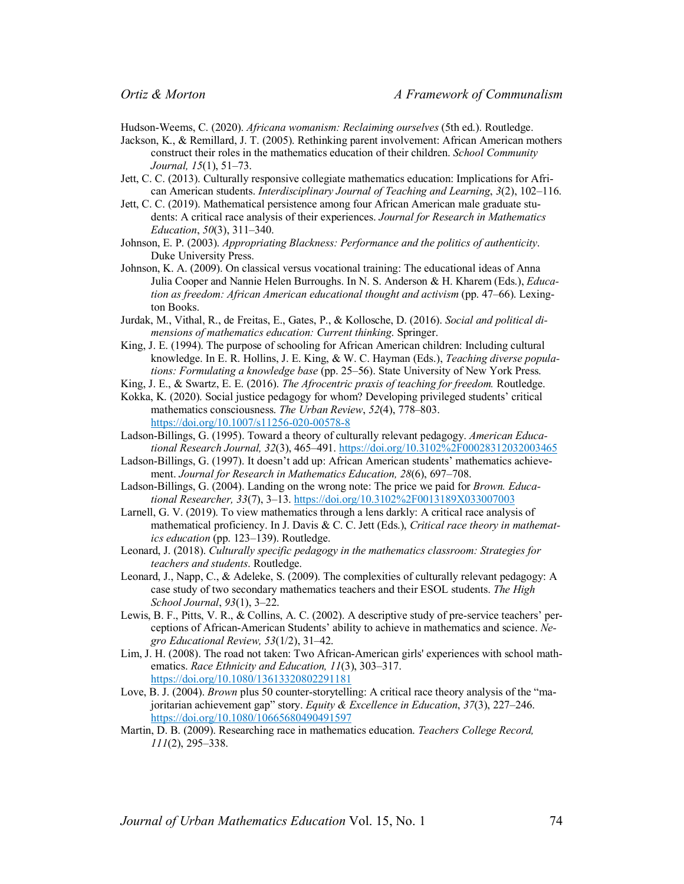Hudson-Weems, C. (2020). *Africana womanism: Reclaiming ourselves* (5th ed.). Routledge.

- Jackson, K., & Remillard, J. T. (2005). Rethinking parent involvement: African American mothers construct their roles in the mathematics education of their children. *School Community Journal, 15*(1), 51–73.
- Jett, C. C. (2013). Culturally responsive collegiate mathematics education: Implications for African American students. *Interdisciplinary Journal of Teaching and Learning*, *3*(2), 102–116.
- Jett, C. C. (2019). Mathematical persistence among four African American male graduate students: A critical race analysis of their experiences. *Journal for Research in Mathematics Education*, *50*(3), 311–340.
- Johnson, E. P. (2003). *Appropriating Blackness: Performance and the politics of authenticity*. Duke University Press.
- Johnson, K. A. (2009). On classical versus vocational training: The educational ideas of Anna Julia Cooper and Nannie Helen Burroughs. In N. S. Anderson & H. Kharem (Eds.), *Education as freedom: African American educational thought and activism* (pp. 47–66). Lexington Books.
- Jurdak, M., Vithal, R., de Freitas, E., Gates, P., & Kollosche, D. (2016). *Social and political dimensions of mathematics education: Current thinking*. Springer.
- King, J. E. (1994). The purpose of schooling for African American children: Including cultural knowledge. In E. R. Hollins, J. E. King, & W. C. Hayman (Eds.), *Teaching diverse populations: Formulating a knowledge base* (pp. 25–56). State University of New York Press.
- King, J. E., & Swartz, E. E. (2016). *The Afrocentric praxis of teaching for freedom.* Routledge.
- Kokka, K. (2020). Social justice pedagogy for whom? Developing privileged students' critical mathematics consciousness. *The Urban Review*, *52*(4), 778–803. https://doi.org/10.1007/s11256-020-00578-8
- Ladson-Billings, G. (1995). Toward a theory of culturally relevant pedagogy. *American Educational Research Journal, 32*(3), 465–491. https://doi.org/10.3102%2F00028312032003465
- Ladson-Billings, G. (1997). It doesn't add up: African American students' mathematics achievement. *Journal for Research in Mathematics Education, 28*(6), 697–708.
- Ladson-Billings, G. (2004). Landing on the wrong note: The price we paid for *Brown. Educational Researcher, 33*(7), 3–13. https://doi.org/10.3102%2F0013189X033007003
- Larnell, G. V. (2019). To view mathematics through a lens darkly: A critical race analysis of mathematical proficiency. In J. Davis & C. C. Jett (Eds.), *Critical race theory in mathematics education* (pp. 123–139). Routledge.
- Leonard, J. (2018). *Culturally specific pedagogy in the mathematics classroom: Strategies for teachers and students*. Routledge.
- Leonard, J., Napp, C., & Adeleke, S. (2009). The complexities of culturally relevant pedagogy: A case study of two secondary mathematics teachers and their ESOL students. *The High School Journal*, *93*(1), 3–22.
- Lewis, B. F., Pitts, V. R., & Collins, A. C. (2002). A descriptive study of pre-service teachers' perceptions of African-American Students' ability to achieve in mathematics and science. *Negro Educational Review, 53*(1/2), 31–42.
- Lim, J. H. (2008). The road not taken: Two African-American girls' experiences with school mathematics. *Race Ethnicity and Education, 11*(3), 303–317. https://doi.org/10.1080/13613320802291181
- Love, B. J. (2004). *Brown* plus 50 counter-storytelling: A critical race theory analysis of the "majoritarian achievement gap" story. *Equity & Excellence in Education*, *37*(3), 227–246. https://doi.org/10.1080/10665680490491597
- Martin, D. B. (2009). Researching race in mathematics education. *Teachers College Record, 111*(2), 295–338.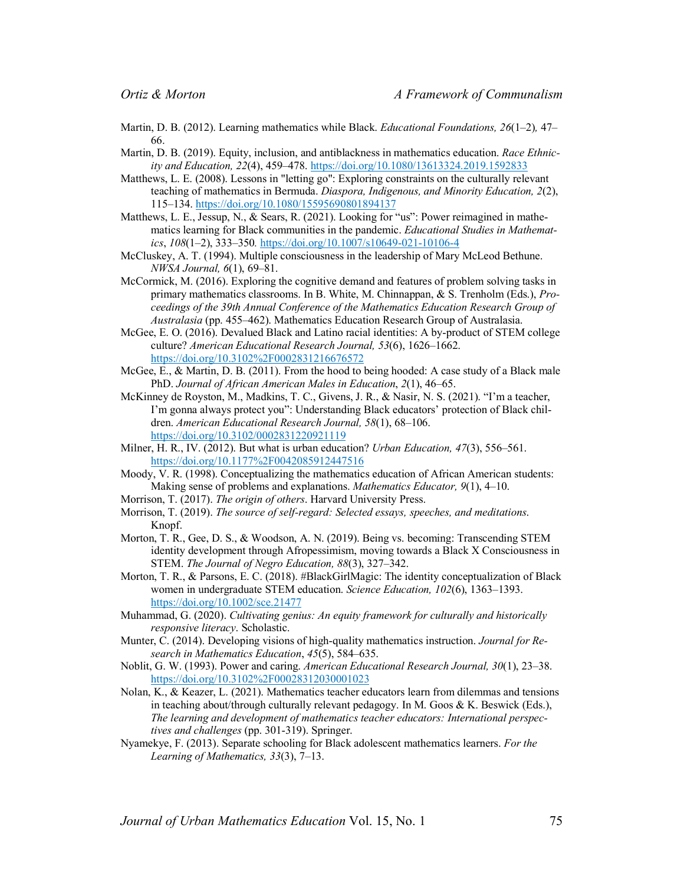- Martin, D. B. (2012). Learning mathematics while Black. *Educational Foundations, 26*(1–2)*,* 47– 66.
- Martin, D. B. (2019). Equity, inclusion, and antiblackness in mathematics education. *Race Ethnicity and Education, 22*(4), 459–478. https://doi.org/10.1080/13613324.2019.1592833
- Matthews, L. E. (2008). Lessons in "letting go": Exploring constraints on the culturally relevant teaching of mathematics in Bermuda. *Diaspora, Indigenous, and Minority Education, 2*(2), 115–134. https://doi.org/10.1080/15595690801894137
- Matthews, L. E., Jessup, N., & Sears, R. (2021). Looking for "us": Power reimagined in mathematics learning for Black communities in the pandemic. *Educational Studies in Mathematics*, *108*(1–2), 333–350*.* https://doi.org/10.1007/s10649-021-10106-4
- McCluskey, A. T. (1994). Multiple consciousness in the leadership of Mary McLeod Bethune. *NWSA Journal, 6*(1), 69–81.
- McCormick, M. (2016). Exploring the cognitive demand and features of problem solving tasks in primary mathematics classrooms. In B. White, M. Chinnappan, & S. Trenholm (Eds.), *Proceedings of the 39th Annual Conference of the Mathematics Education Research Group of Australasia* (pp. 455–462). Mathematics Education Research Group of Australasia.
- McGee, E. O. (2016). Devalued Black and Latino racial identities: A by-product of STEM college culture? *American Educational Research Journal, 53*(6), 1626–1662. https://doi.org/10.3102%2F0002831216676572
- McGee, E., & Martin, D. B. (2011). From the hood to being hooded: A case study of a Black male PhD. *Journal of African American Males in Education*, *2*(1), 46–65.
- McKinney de Royston, M., Madkins, T. C., Givens, J. R., & Nasir, N. S. (2021). "I'm a teacher, I'm gonna always protect you": Understanding Black educators' protection of Black children. *American Educational Research Journal, 58*(1), 68–106. https://doi.org/10.3102/0002831220921119
- Milner, H. R., IV. (2012). But what is urban education? *Urban Education, 47*(3), 556–561. https://doi.org/10.1177%2F0042085912447516
- Moody, V. R. (1998). Conceptualizing the mathematics education of African American students: Making sense of problems and explanations. *Mathematics Educator, 9*(1), 4–10.
- Morrison, T. (2017). *The origin of others*. Harvard University Press.
- Morrison, T. (2019). *The source of self-regard: Selected essays, speeches, and meditations*. Knopf.
- Morton, T. R., Gee, D. S., & Woodson, A. N. (2019). Being vs. becoming: Transcending STEM identity development through Afropessimism, moving towards a Black X Consciousness in STEM. *The Journal of Negro Education, 88*(3), 327–342.
- Morton, T. R., & Parsons, E. C. (2018). #BlackGirlMagic: The identity conceptualization of Black women in undergraduate STEM education. *Science Education, 102*(6), 1363–1393. https://doi.org/10.1002/sce.21477
- Muhammad, G. (2020). *Cultivating genius: An equity framework for culturally and historically responsive literacy*. Scholastic.
- Munter, C. (2014). Developing visions of high-quality mathematics instruction. *Journal for Research in Mathematics Education*, *45*(5), 584–635.
- Noblit, G. W. (1993). Power and caring. *American Educational Research Journal, 30*(1), 23–38. https://doi.org/10.3102%2F00028312030001023
- Nolan, K., & Keazer, L. (2021). Mathematics teacher educators learn from dilemmas and tensions in teaching about/through culturally relevant pedagogy. In M. Goos & K. Beswick (Eds.), *The learning and development of mathematics teacher educators: International perspectives and challenges* (pp. 301-319). Springer.
- Nyamekye, F. (2013). Separate schooling for Black adolescent mathematics learners. *For the Learning of Mathematics, 33*(3), 7–13.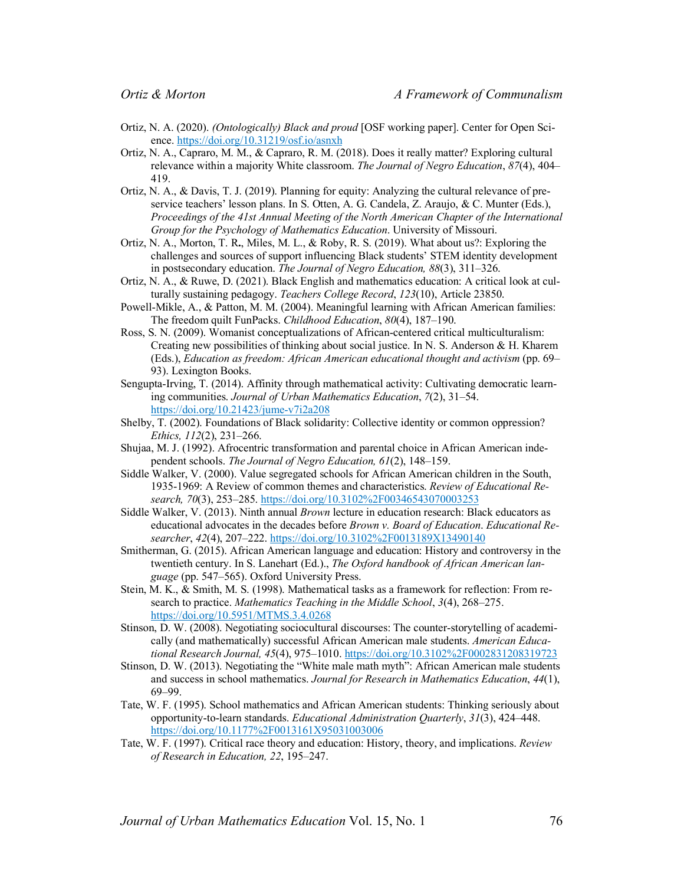- Ortiz, N. A. (2020). *(Ontologically) Black and proud* [OSF working paper]. Center for Open Science. https://doi.org/10.31219/osf.io/asnxh
- Ortiz, N. A., Capraro, M. M., & Capraro, R. M. (2018). Does it really matter? Exploring cultural relevance within a majority White classroom. *The Journal of Negro Education*, *87*(4), 404– 419.
- Ortiz, N. A., & Davis, T. J. (2019). Planning for equity: Analyzing the cultural relevance of preservice teachers' lesson plans. In S. Otten, A. G. Candela, Z. Araujo, & C. Munter (Eds.), *Proceedings of the 41st Annual Meeting of the North American Chapter of the International Group for the Psychology of Mathematics Education*. University of Missouri.
- Ortiz, N. A., Morton, T. R**.**, Miles, M. L., & Roby, R. S. (2019). What about us?: Exploring the challenges and sources of support influencing Black students' STEM identity development in postsecondary education. *The Journal of Negro Education, 88*(3), 311–326.
- Ortiz, N. A., & Ruwe, D. (2021). Black English and mathematics education: A critical look at culturally sustaining pedagogy. *Teachers College Record*, *123*(10), Article 23850.
- Powell-Mikle, A., & Patton, M. M. (2004). Meaningful learning with African American families: The freedom quilt FunPacks. *Childhood Education*, *80*(4), 187–190.
- Ross, S. N. (2009). Womanist conceptualizations of African-centered critical multiculturalism: Creating new possibilities of thinking about social justice. In N. S. Anderson & H. Kharem (Eds.), *Education as freedom: African American educational thought and activism* (pp. 69– 93). Lexington Books.
- Sengupta-Irving, T. (2014). Affinity through mathematical activity: Cultivating democratic learning communities. *Journal of Urban Mathematics Education*, *7*(2), 31–54. https://doi.org/10.21423/jume-v7i2a208
- Shelby, T. (2002). Foundations of Black solidarity: Collective identity or common oppression? *Ethics, 112*(2), 231–266.
- Shujaa, M. J. (1992). Afrocentric transformation and parental choice in African American independent schools. *The Journal of Negro Education, 61*(2), 148–159.
- Siddle Walker, V. (2000). Value segregated schools for African American children in the South, 1935-1969: A Review of common themes and characteristics. *Review of Educational Research, 70*(3), 253–285. https://doi.org/10.3102%2F00346543070003253
- Siddle Walker, V. (2013). Ninth annual *Brown* lecture in education research: Black educators as educational advocates in the decades before *Brown v. Board of Education*. *Educational Researcher*, *42*(4), 207–222. https://doi.org/10.3102%2F0013189X13490140
- Smitherman, G. (2015). African American language and education: History and controversy in the twentieth century. In S. Lanehart (Ed.)., *The Oxford handbook of African American language* (pp. 547–565). Oxford University Press.
- Stein, M. K., & Smith, M. S. (1998). Mathematical tasks as a framework for reflection: From research to practice. *Mathematics Teaching in the Middle School*, *3*(4), 268–275. https://doi.org/10.5951/MTMS.3.4.0268
- Stinson, D. W. (2008). Negotiating sociocultural discourses: The counter-storytelling of academically (and mathematically) successful African American male students. *American Educational Research Journal, 45*(4), 975–1010. https://doi.org/10.3102%2F0002831208319723
- Stinson, D. W. (2013). Negotiating the "White male math myth": African American male students and success in school mathematics. *Journal for Research in Mathematics Education*, *44*(1), 69–99.
- Tate, W. F. (1995). School mathematics and African American students: Thinking seriously about opportunity-to-learn standards. *Educational Administration Quarterly*, *31*(3), 424–448. https://doi.org/10.1177%2F0013161X95031003006
- Tate, W. F. (1997). Critical race theory and education: History, theory, and implications. *Review of Research in Education, 22*, 195–247.